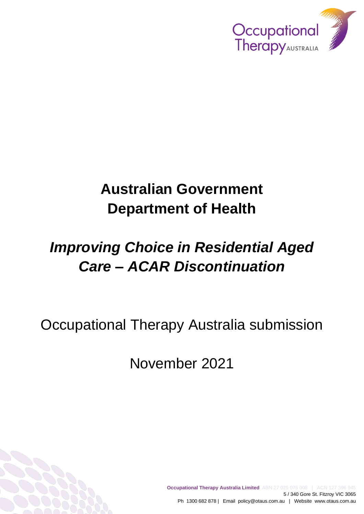

# **Australian Government Department of Health**

# *Improving Choice in Residential Aged Care – ACAR Discontinuation*

Occupational Therapy Australia submission

November 2021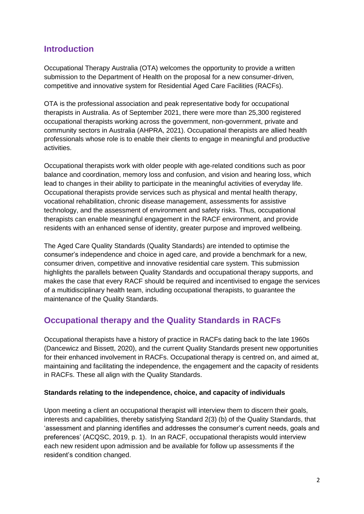## **Introduction**

Occupational Therapy Australia (OTA) welcomes the opportunity to provide a written submission to the Department of Health on the proposal for a new consumer-driven, competitive and innovative system for Residential Aged Care Facilities (RACFs).

OTA is the professional association and peak representative body for occupational therapists in Australia. As of September 2021, there were more than 25,300 registered occupational therapists working across the government, non-government, private and community sectors in Australia (AHPRA, 2021). Occupational therapists are allied health professionals whose role is to enable their clients to engage in meaningful and productive activities.

Occupational therapists work with older people with age-related conditions such as poor balance and coordination, memory loss and confusion, and vision and hearing loss, which lead to changes in their ability to participate in the meaningful activities of everyday life. Occupational therapists provide services such as physical and mental health therapy, vocational rehabilitation, chronic disease management, assessments for assistive technology, and the assessment of environment and safety risks. Thus, occupational therapists can enable meaningful engagement in the RACF environment, and provide residents with an enhanced sense of identity, greater purpose and improved wellbeing.

The Aged Care Quality Standards (Quality Standards) are intended to optimise the consumer's independence and choice in aged care, and provide a benchmark for a new, consumer driven, competitive and innovative residential care system. This submission highlights the parallels between Quality Standards and occupational therapy supports, and makes the case that every RACF should be required and incentivised to engage the services of a multidisciplinary health team, including occupational therapists, to guarantee the maintenance of the Quality Standards.

## **Occupational therapy and the Quality Standards in RACFs**

Occupational therapists have a history of practice in RACFs dating back to the late 1960s (Dancewicz and Bissett, 2020), and the current Quality Standards present new opportunities for their enhanced involvement in RACFs. Occupational therapy is centred on, and aimed at, maintaining and facilitating the independence, the engagement and the capacity of residents in RACFs. These all align with the Quality Standards.

#### **Standards relating to the independence, choice, and capacity of individuals**

Upon meeting a client an occupational therapist will interview them to discern their goals, interests and capabilities, thereby satisfying Standard 2(3) (b) of the Quality Standards, that 'assessment and planning identifies and addresses the consumer's current needs, goals and preferences' (ACQSC, 2019, p. 1). In an RACF, occupational therapists would interview each new resident upon admission and be available for follow up assessments if the resident's condition changed.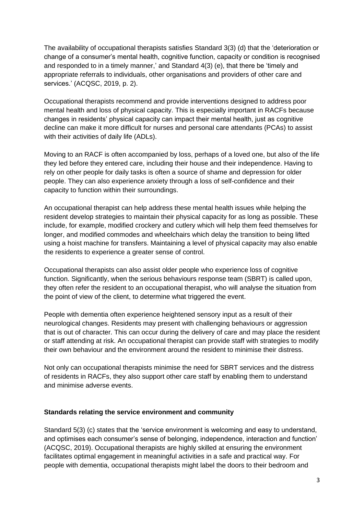The availability of occupational therapists satisfies Standard 3(3) (d) that the 'deterioration or change of a consumer's mental health, cognitive function, capacity or condition is recognised and responded to in a timely manner,' and Standard 4(3) (e), that there be 'timely and appropriate referrals to individuals, other organisations and providers of other care and services.' (ACQSC, 2019, p. 2).

Occupational therapists recommend and provide interventions designed to address poor mental health and loss of physical capacity. This is especially important in RACFs because changes in residents' physical capacity can impact their mental health, just as cognitive decline can make it more difficult for nurses and personal care attendants (PCAs) to assist with their activities of daily life (ADLs).

Moving to an RACF is often accompanied by loss, perhaps of a loved one, but also of the life they led before they entered care, including their house and their independence. Having to rely on other people for daily tasks is often a source of shame and depression for older people. They can also experience anxiety through a loss of self-confidence and their capacity to function within their surroundings.

An occupational therapist can help address these mental health issues while helping the resident develop strategies to maintain their physical capacity for as long as possible. These include, for example, modified crockery and cutlery which will help them feed themselves for longer, and modified commodes and wheelchairs which delay the transition to being lifted using a hoist machine for transfers. Maintaining a level of physical capacity may also enable the residents to experience a greater sense of control.

Occupational therapists can also assist older people who experience loss of cognitive function. Significantly, when the serious behaviours response team (SBRT) is called upon, they often refer the resident to an occupational therapist, who will analyse the situation from the point of view of the client, to determine what triggered the event.

People with dementia often experience heightened sensory input as a result of their neurological changes. Residents may present with challenging behaviours or aggression that is out of character. This can occur during the delivery of care and may place the resident or staff attending at risk. An occupational therapist can provide staff with strategies to modify their own behaviour and the environment around the resident to minimise their distress.

Not only can occupational therapists minimise the need for SBRT services and the distress of residents in RACFs, they also support other care staff by enabling them to understand and minimise adverse events.

#### **Standards relating the service environment and community**

Standard 5(3) (c) states that the 'service environment is welcoming and easy to understand, and optimises each consumer's sense of belonging, independence, interaction and function' (ACQSC, 2019). Occupational therapists are highly skilled at ensuring the environment facilitates optimal engagement in meaningful activities in a safe and practical way. For people with dementia, occupational therapists might label the doors to their bedroom and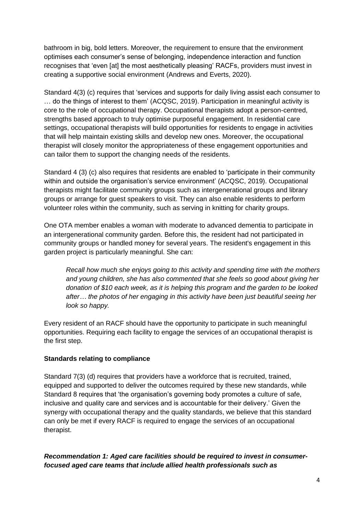bathroom in big, bold letters. Moreover, the requirement to ensure that the environment optimises each consumer's sense of belonging, independence interaction and function recognises that 'even [at] the most aesthetically pleasing' RACFs, providers must invest in creating a supportive social environment (Andrews and Everts, 2020).

Standard 4(3) (c) requires that 'services and supports for daily living assist each consumer to … do the things of interest to them' (ACQSC, 2019). Participation in meaningful activity is core to the role of occupational therapy. Occupational therapists adopt a person-centred, strengths based approach to truly optimise purposeful engagement. In residential care settings, occupational therapists will build opportunities for residents to engage in activities that will help maintain existing skills and develop new ones. Moreover, the occupational therapist will closely monitor the appropriateness of these engagement opportunities and can tailor them to support the changing needs of the residents.

Standard 4 (3) (c) also requires that residents are enabled to 'participate in their community within and outside the organisation's service environment' (ACQSC, 2019). Occupational therapists might facilitate community groups such as intergenerational groups and library groups or arrange for guest speakers to visit. They can also enable residents to perform volunteer roles within the community, such as serving in knitting for charity groups.

One OTA member enables a woman with moderate to advanced dementia to participate in an intergenerational community garden. Before this, the resident had not participated in community groups or handled money for several years. The resident's engagement in this garden project is particularly meaningful. She can:

*Recall how much she enjoys going to this activity and spending time with the mothers and young children, she has also commented that she feels so good about giving her donation of \$10 each week, as it is helping this program and the garden to be looked after… the photos of her engaging in this activity have been just beautiful seeing her look so happy.*

Every resident of an RACF should have the opportunity to participate in such meaningful opportunities. Requiring each facility to engage the services of an occupational therapist is the first step.

#### **Standards relating to compliance**

Standard 7(3) (d) requires that providers have a workforce that is recruited, trained, equipped and supported to deliver the outcomes required by these new standards, while Standard 8 requires that 'the organisation's governing body promotes a culture of safe, inclusive and quality care and services and is accountable for their delivery.' Given the synergy with occupational therapy and the quality standards, we believe that this standard can only be met if every RACF is required to engage the services of an occupational therapist.

*Recommendation 1: Aged care facilities should be required to invest in consumerfocused aged care teams that include allied health professionals such as*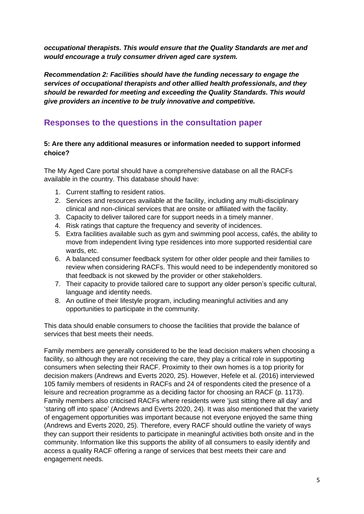*occupational therapists. This would ensure that the Quality Standards are met and would encourage a truly consumer driven aged care system.*

*Recommendation 2: Facilities should have the funding necessary to engage the services of occupational therapists and other allied health professionals, and they should be rewarded for meeting and exceeding the Quality Standards. This would give providers an incentive to be truly innovative and competitive.* 

### **Responses to the questions in the consultation paper**

#### **5: Are there any additional measures or information needed to support informed choice?**

The My Aged Care portal should have a comprehensive database on all the RACFs available in the country. This database should have:

- 1. Current staffing to resident ratios.
- 2. Services and resources available at the facility, including any multi-disciplinary clinical and non-clinical services that are onsite or affiliated with the facility.
- 3. Capacity to deliver tailored care for support needs in a timely manner.
- 4. Risk ratings that capture the frequency and severity of incidences.
- 5. Extra facilities available such as gym and swimming pool access, cafés, the ability to move from independent living type residences into more supported residential care wards, etc.
- 6. A balanced consumer feedback system for other older people and their families to review when considering RACFs. This would need to be independently monitored so that feedback is not skewed by the provider or other stakeholders.
- 7. Their capacity to provide tailored care to support any older person's specific cultural, language and identity needs.
- 8. An outline of their lifestyle program, including meaningful activities and any opportunities to participate in the community.

This data should enable consumers to choose the facilities that provide the balance of services that best meets their needs.

Family members are generally considered to be the lead decision makers when choosing a facility, so although they are not receiving the care, they play a critical role in supporting consumers when selecting their RACF. Proximity to their own homes is a top priority for decision makers (Andrews and Everts 2020, 25). However, Hefele et al. (2016) interviewed 105 family members of residents in RACFs and 24 of respondents cited the presence of a leisure and recreation programme as a deciding factor for choosing an RACF (p. 1173). Family members also criticised RACFs where residents were 'just sitting there all day' and 'staring off into space' (Andrews and Everts 2020, 24). It was also mentioned that the variety of engagement opportunities was important because not everyone enjoyed the same thing (Andrews and Everts 2020, 25). Therefore, every RACF should outline the variety of ways they can support their residents to participate in meaningful activities both onsite and in the community. Information like this supports the ability of all consumers to easily identify and access a quality RACF offering a range of services that best meets their care and engagement needs.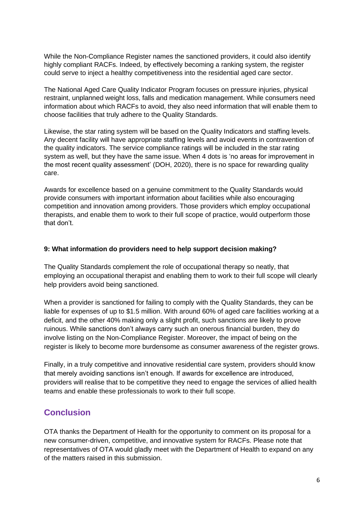While the Non-Compliance Register names the sanctioned providers, it could also identify highly compliant RACFs. Indeed, by effectively becoming a ranking system, the register could serve to inject a healthy competitiveness into the residential aged care sector.

The National Aged Care Quality Indicator Program focuses on pressure injuries, physical restraint, unplanned weight loss, falls and medication management. While consumers need information about which RACFs to avoid, they also need information that will enable them to choose facilities that truly adhere to the Quality Standards.

Likewise, the star rating system will be based on the Quality Indicators and staffing levels. Any decent facility will have appropriate staffing levels and avoid events in contravention of the quality indicators. The service compliance ratings will be included in the star rating system as well, but they have the same issue. When 4 dots is 'no areas for improvement in the most recent quality assessment' (DOH, 2020), there is no space for rewarding quality care.

Awards for excellence based on a genuine commitment to the Quality Standards would provide consumers with important information about facilities while also encouraging competition and innovation among providers. Those providers which employ occupational therapists, and enable them to work to their full scope of practice, would outperform those that don't.

#### **9: What information do providers need to help support decision making?**

The Quality Standards complement the role of occupational therapy so neatly, that employing an occupational therapist and enabling them to work to their full scope will clearly help providers avoid being sanctioned.

When a provider is sanctioned for failing to comply with the Quality Standards, they can be liable for expenses of up to \$1.5 million. With around 60% of aged care facilities working at a deficit, and the other 40% making only a slight profit, such sanctions are likely to prove ruinous. While sanctions don't always carry such an onerous financial burden, they do involve listing on the Non-Compliance Register. Moreover, the impact of being on the register is likely to become more burdensome as consumer awareness of the register grows.

Finally, in a truly competitive and innovative residential care system, providers should know that merely avoiding sanctions isn't enough. If awards for excellence are introduced, providers will realise that to be competitive they need to engage the services of allied health teams and enable these professionals to work to their full scope.

## **Conclusion**

OTA thanks the Department of Health for the opportunity to comment on its proposal for a new consumer-driven, competitive, and innovative system for RACFs. Please note that representatives of OTA would gladly meet with the Department of Health to expand on any of the matters raised in this submission.